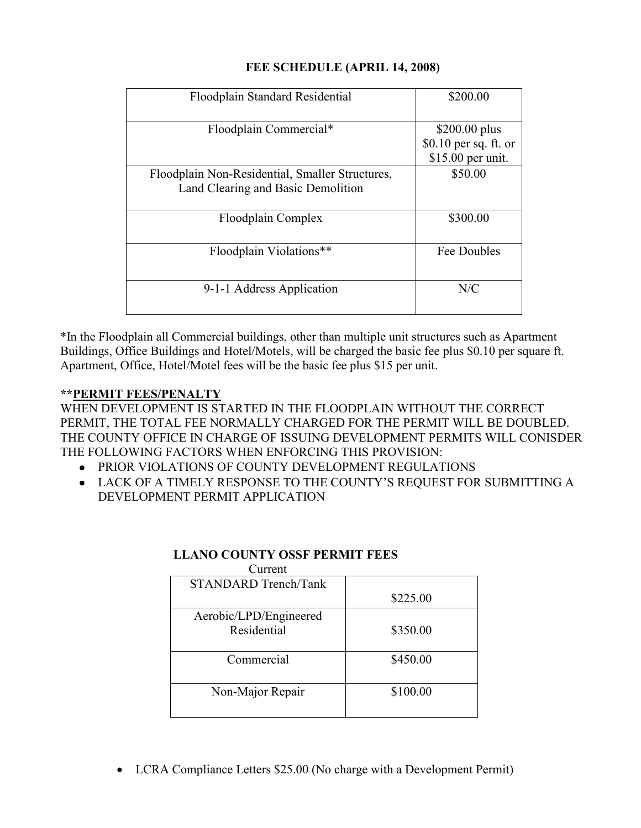| Floodplain Standard Residential                 | \$200.00               |
|-------------------------------------------------|------------------------|
| Floodplain Commercial*                          | $$200.00$ plus         |
|                                                 | $$0.10$ per sq. ft. or |
|                                                 | \$15.00 per unit.      |
| Floodplain Non-Residential, Smaller Structures, | \$50.00                |
| Land Clearing and Basic Demolition              |                        |
|                                                 |                        |
| Floodplain Complex                              | \$300.00               |
|                                                 |                        |
| Floodplain Violations**                         | Fee Doubles            |
|                                                 |                        |
| 9-1-1 Address Application                       | N/C                    |
|                                                 |                        |
|                                                 |                        |

## **FEE SCHEDULE (APRIL 14, 2008)**

\*In the Floodplain all Commercial buildings, other than multiple unit structures such as Apartment Buildings, Office Buildings and Hotel/Motels, will be charged the basic fee plus \$0.10 per square ft. Apartment, Office, Hotel/Motel fees will be the basic fee plus \$15 per unit.

## **\*\*PERMIT FEES/PENALTY**

WHEN DEVELOPMENT IS STARTED IN THE FLOODPLAIN WITHOUT THE CORRECT PERMIT, THE TOTAL FEE NORMALLY CHARGED FOR THE PERMIT WILL BE DOUBLED. THE COUNTY OFFICE IN CHARGE OF ISSUING DEVELOPMENT PERMITS WILL CONISDER THE FOLLOWING FACTORS WHEN ENFORCING THIS PROVISION:

- PRIOR VIOLATIONS OF COUNTY DEVELOPMENT REGULATIONS
- LACK OF A TIMELY RESPONSE TO THE COUNTY'S REQUEST FOR SUBMITTING A DEVELOPMENT PERMIT APPLICATION

| \$225.00 |
|----------|
|          |
| \$350.00 |
|          |
| \$450.00 |
|          |
| \$100.00 |
|          |
|          |

## **LLANO COUNTY OSSF PERMIT FEES**

• LCRA Compliance Letters \$25.00 (No charge with a Development Permit)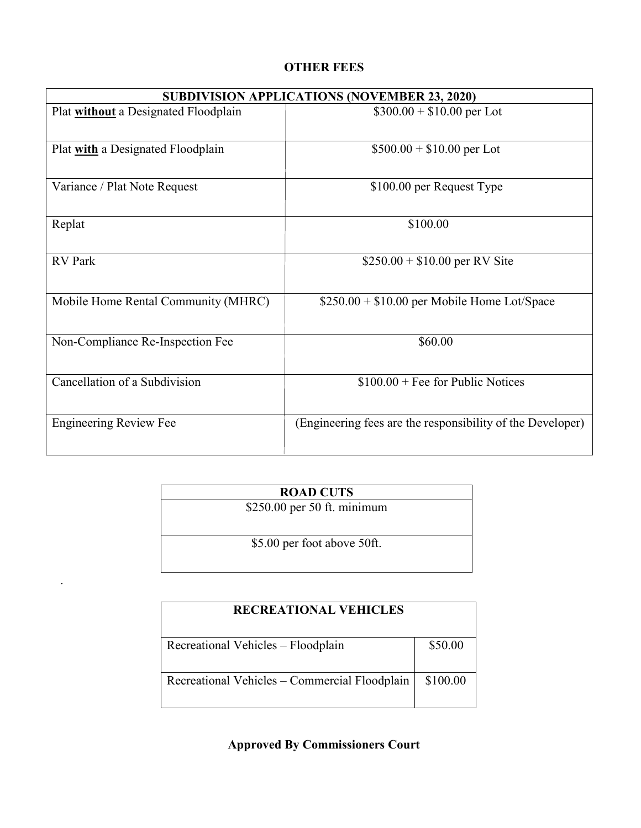# **OTHER FEES**

| <b>SUBDIVISION APPLICATIONS (NOVEMBER 23, 2020)</b> |                                                            |  |
|-----------------------------------------------------|------------------------------------------------------------|--|
| Plat without a Designated Floodplain                | $$300.00 + $10.00$ per Lot                                 |  |
| Plat with a Designated Floodplain                   | $$500.00 + $10.00$ per Lot                                 |  |
| Variance / Plat Note Request                        | \$100.00 per Request Type                                  |  |
| Replat                                              | \$100.00                                                   |  |
| <b>RV</b> Park                                      | $$250.00 + $10.00$ per RV Site                             |  |
| Mobile Home Rental Community (MHRC)                 | $$250.00 + $10.00$ per Mobile Home Lot/Space               |  |
| Non-Compliance Re-Inspection Fee                    | \$60.00                                                    |  |
| Cancellation of a Subdivision                       | $$100.00 + Fee for Public Notices$                         |  |
| <b>Engineering Review Fee</b>                       | (Engineering fees are the responsibility of the Developer) |  |

| <b>ROAD CUTS</b>             |  |  |
|------------------------------|--|--|
| $$250.00$ per 50 ft. minimum |  |  |
|                              |  |  |
|                              |  |  |
| \$5.00 per foot above 50ft.  |  |  |
|                              |  |  |
|                              |  |  |

.

| <b>RECREATIONAL VEHICLES</b>                  |          |  |
|-----------------------------------------------|----------|--|
| Recreational Vehicles - Floodplain            | \$50.00  |  |
| Recreational Vehicles – Commercial Floodplain | \$100.00 |  |

**Approved By Commissioners Court**